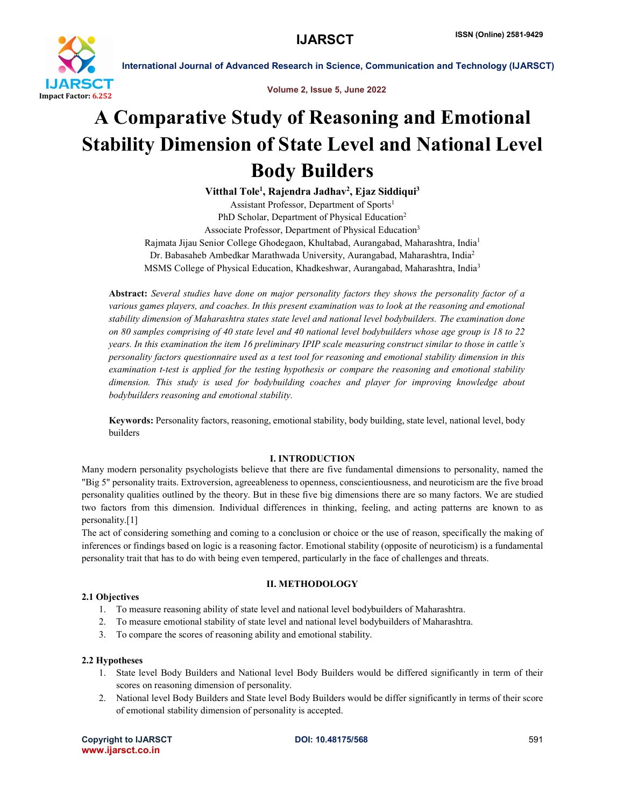

International Journal of Advanced Research in Science, Communication and Technology (IJARSCT)

Volume 2, Issue 5, June 2022

# A Comparative Study of Reasoning and Emotional Stability Dimension of State Level and National Level Body Builders

Vitthal Tole<sup>1</sup>, Rajendra Jadhav<sup>2</sup>, Ejaz Siddiqui<sup>3</sup> Assistant Professor, Department of Sports<sup>1</sup> PhD Scholar, Department of Physical Education<sup>2</sup> Associate Professor, Department of Physical Education3 Rajmata Jijau Senior College Ghodegaon, Khultabad, Aurangabad, Maharashtra, India1 Dr. Babasaheb Ambedkar Marathwada University, Aurangabad, Maharashtra, India2 MSMS College of Physical Education, Khadkeshwar, Aurangabad, Maharashtra, India3

Abstract: *Several studies have done on major personality factors they shows the personality factor of a various games players, and coaches. In this present examination was to look at the reasoning and emotional stability dimension of Maharashtra states state level and national level bodybuilders. The examination done on 80 samples comprising of 40 state level and 40 national level bodybuilders whose age group is 18 to 22 years. In this examination the item 16 preliminary IPIP scale measuring construct similar to those in cattle's personality factors questionnaire used as a test tool for reasoning and emotional stability dimension in this examination t-test is applied for the testing hypothesis or compare the reasoning and emotional stability dimension. This study is used for bodybuilding coaches and player for improving knowledge about bodybuilders reasoning and emotional stability.*

Keywords: Personality factors, reasoning, emotional stability, body building, state level, national level, body builders

### I. INTRODUCTION

Many modern personality psychologists believe that there are five fundamental dimensions to personality, named the "Big 5" personality traits. Extroversion, agreeableness to openness, conscientiousness, and neuroticism are the five broad personality qualities outlined by the theory. But in these five big dimensions there are so many factors. We are studied two factors from this dimension. Individual differences in thinking, feeling, and acting patterns are known to as personality.[1]

The act of considering something and coming to a conclusion or choice or the use of reason, specifically the making of inferences or findings based on logic is a reasoning factor. Emotional stability (opposite of neuroticism) is a fundamental personality trait that has to do with being even tempered, particularly in the face of challenges and threats.

### II. METHODOLOGY

# 2.1 Objectives

- 1. To measure reasoning ability of state level and national level bodybuilders of Maharashtra.
- 2. To measure emotional stability of state level and national level bodybuilders of Maharashtra.
- 3. To compare the scores of reasoning ability and emotional stability.

### 2.2 Hypotheses

- 1. State level Body Builders and National level Body Builders would be differed significantly in term of their scores on reasoning dimension of personality.
- 2. National level Body Builders and State level Body Builders would be differ significantly in terms of their score of emotional stability dimension of personality is accepted.

Copyright to IJARSCT **DOI: 10.48175/568** 591 www.ijarsct.co.in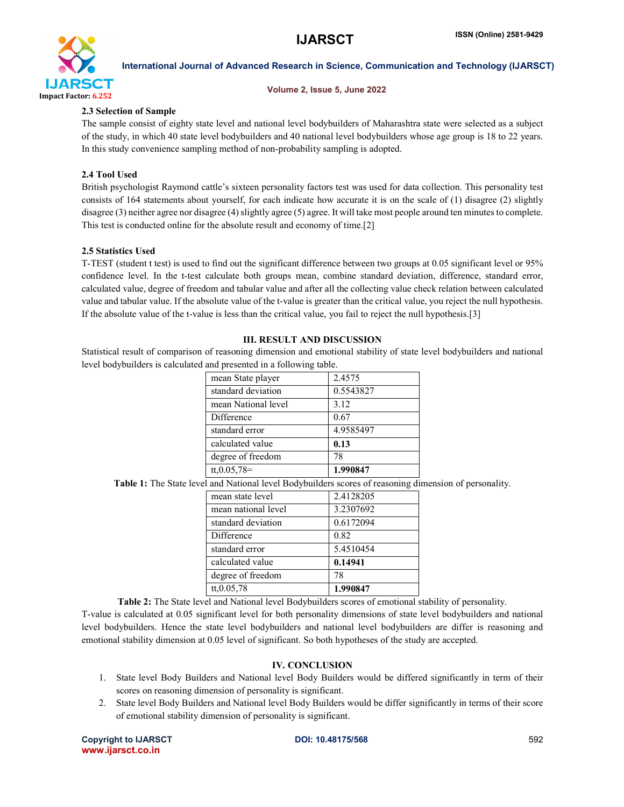

International Journal of Advanced Research in Science, Communication and Technology (IJARSCT)

#### Volume 2, Issue 5, June 2022

#### 2.3 Selection of Sample

The sample consist of eighty state level and national level bodybuilders of Maharashtra state were selected as a subject of the study, in which 40 state level bodybuilders and 40 national level bodybuilders whose age group is 18 to 22 years. In this study convenience sampling method of non-probability sampling is adopted.

#### 2.4 Tool Used

British psychologist Raymond cattle's sixteen personality factors test was used for data collection. This personality test consists of 164 statements about yourself, for each indicate how accurate it is on the scale of (1) disagree (2) slightly disagree (3) neither agree nor disagree (4) slightly agree (5) agree. It will take most people around ten minutes to complete. This test is conducted online for the absolute result and economy of time.[2]

#### 2.5 Statistics Used

T-TEST (student t test) is used to find out the significant difference between two groups at 0.05 significant level or 95% confidence level. In the t-test calculate both groups mean, combine standard deviation, difference, standard error, calculated value, degree of freedom and tabular value and after all the collecting value check relation between calculated value and tabular value. If the absolute value of the t-value is greater than the critical value, you reject the null hypothesis. If the absolute value of the t-value is less than the critical value, you fail to reject the null hypothesis.[3]

### III. RESULT AND DISCUSSION

Statistical result of comparison of reasoning dimension and emotional stability of state level bodybuilders and national level bodybuilders is calculated and presented in a following table.

| mean State player   | 2.4575    |
|---------------------|-----------|
| standard deviation  | 0.5543827 |
| mean National level | 3.12      |
| Difference          | 0.67      |
| standard error      | 4.9585497 |
| calculated value    | 0.13      |
| degree of freedom   | 78        |
| $tt, 0.05, 78=$     | 1.990847  |

Table 1: The State level and National level Bodybuilders scores of reasoning dimension of personality.

| mean state level    | 2.4128205 |
|---------------------|-----------|
| mean national level | 3.2307692 |
| standard deviation  | 0.6172094 |
| Difference          | 0.82      |
| standard error      | 5.4510454 |
| calculated value    | 0.14941   |
| degree of freedom   | 78        |
| tt, 0.05, 78        | 1.990847  |

Table 2: The State level and National level Bodybuilders scores of emotional stability of personality. T-value is calculated at 0.05 significant level for both personality dimensions of state level bodybuilders and national level bodybuilders. Hence the state level bodybuilders and national level bodybuilders are differ is reasoning and emotional stability dimension at 0.05 level of significant. So both hypotheses of the study are accepted.

#### IV. CONCLUSION

- 1. State level Body Builders and National level Body Builders would be differed significantly in term of their scores on reasoning dimension of personality is significant.
- 2. State level Body Builders and National level Body Builders would be differ significantly in terms of their score of emotional stability dimension of personality is significant.

Copyright to IJARSCT **DOI: 10.48175/568** 592 www.ijarsct.co.in